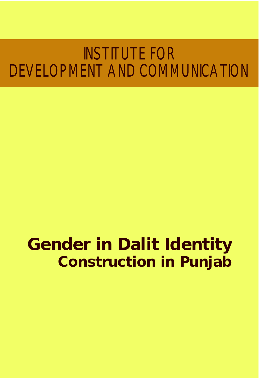# INSTITUTE FOR DEVELOPMENT AND COMMUNICATION

# **Gender in Dalit Identity Construction in Punjab**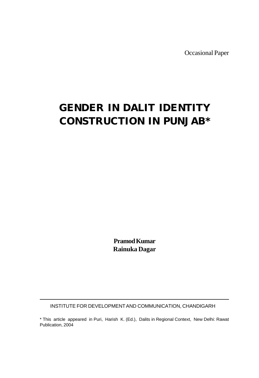Occasional Paper

# **GENDER IN DALIT IDENTITY CONSTRUCTION IN PUNJAB\***

**Pramod Kumar Rainuka Dagar**

INSTITUTE FOR DEVELOPMENT AND COMMUNICATION, CHANDIGARH

\* This article appeared in Puri, Harish K. (Ed.), Dalits in Regional Context, New Delhi: Rawat Publication, 2004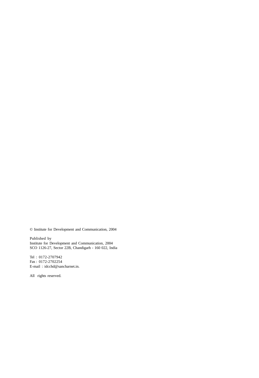© Institute for Development and Communication, 2004

Published by Institute for Development and Communication, 2004 SCO 1126-27, Sector 22B, Chandigarh - 160 022, India

Tel : 0172-2707942 Fax : 0172-2702254 E-mail : idcchd@sancharnet.in.

All rights reserved.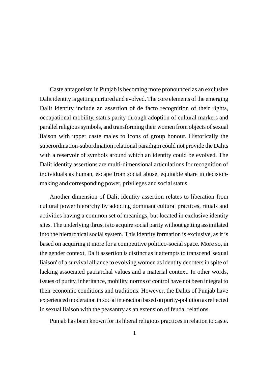Caste antagonism in Punjab is becoming more pronounced as an exclusive Dalit identity is getting nurtured and evolved. The core elements of the emerging Dalit identity include an assertion of de facto recognition of their rights, occupational mobility, status parity through adoption of cultural markers and parallel religious symbols, and transforming their women from objects of sexual liaison with upper caste males to icons of group honour. Historically the superordination-subordination relational paradigm could not provide the Dalits with a reservoir of symbols around which an identity could be evolved. The Dalit identity assertions are multi-dimensional articulations for recognition of individuals as human, escape from social abuse, equitable share in decisionmaking and corresponding power, privileges and social status.

Another dimension of Dalit identity assertion relates to liberation from cultural power hierarchy by adopting dominant cultural practices, rituals and activities having a common set of meanings, but located in exclusive identity sites. The underlying thrust is to acquire social parity without getting assimilated into the hierarchical social system. This identity formation is exclusive, as it is based on acquiring it more for a competitive politico-social space. More so, in the gender context, Dalit assertion is distinct as it attempts to transcend 'sexual liaison' of a survival alliance to evolving women as identity denoters in spite of lacking associated patriarchal values and a material context. In other words, issues of purity, inheritance, mobility, norms of control have not been integral to their economic conditions and traditions. However, the Dalits of Punjab have experienced moderation in social interaction based on purity-pollution as reflected in sexual liaison with the peasantry as an extension of feudal relations.

Punjab has been known for its liberal religious practices in relation to caste.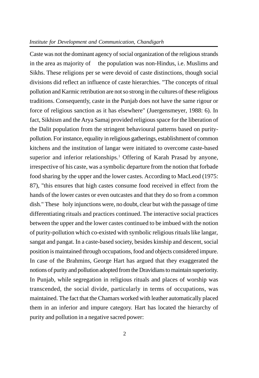#### *Institute for Development and Communication, Chandigarh*

Caste was not the dominant agency of social organization of the religious strands in the area as majority of the population was non-Hindus, i.e. Muslims and Sikhs. These religions per se were devoid of caste distinctions, though social divisions did reflect an influence of caste hierarchies. "The concepts of ritual pollution and Karmic retribution are not so strong in the cultures of these religious traditions. Consequently, caste in the Punjab does not have the same rigour or force of religious sanction as it has elsewhere" (Juergensmeyer, 1988: 6). In fact, Sikhism and the Arya Samaj provided religious space for the liberation of the Dalit population from the stringent behavioural patterns based on puritypollution. For instance, equality in religious gatherings, establishment of common kitchens and the institution of langar were initiated to overcome caste-based superior and inferior relationships.<sup>1</sup> Offering of Karah Prasad by anyone, irrespective of his caste, was a symbolic departure from the notion that forbade food sharing by the upper and the lower castes. According to MacLeod (1975: 87), "this ensures that high castes consume food received in effect from the hands of the lower castes or even outcastes and that they do so from a common dish." These holy injunctions were, no doubt, clear but with the passage of time differentiating rituals and practices continued. The interactive social practices between the upper and the lower castes continued to be imbued with the notion of purity-pollution which co-existed with symbolic religious rituals like langar, sangat and pangat. In a caste-based society, besides kinship and descent, social position is maintained through occupations, food and objects considered impure. In case of the Brahmins, George Hart has argued that they exaggerated the notions of purity and pollution adopted from the Dravidians to maintain superiority. In Punjab, while segregation in religious rituals and places of worship was transcended, the social divide, particularly in terms of occupations, was maintained. The fact that the Chamars worked with leather automatically placed them in an inferior and impure category. Hart has located the hierarchy of purity and pollution in a negative sacred power: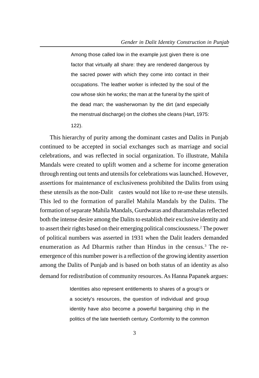Among those called low in the example just given there is one factor that virtually all share: they are rendered dangerous by the sacred power with which they come into contact in their occupations. The leather worker is infected by the soul of the cow whose skin he works; the man at the funeral by the spirit of the dead man; the washerwoman by the dirt (and especially the menstrual discharge) on the clothes she cleans (Hart, 1975:

122).

This hierarchy of purity among the dominant castes and Dalits in Punjab continued to be accepted in social exchanges such as marriage and social celebrations, and was reflected in social organization. To illustrate, Mahila Mandals were created to uplift women and a scheme for income generation through renting out tents and utensils for celebrations was launched. However, assertions for maintenance of exclusiveness prohibited the Dalits from using these utensils as the non-Dalit castes would not like to re-use these utensils. This led to the formation of parallel Mahila Mandals by the Dalits. The formation of separate Mahila Mandals, Gurdwaras and dharamshalas reflected both the intense desire among the Dalits to establish their exclusive identity and to assert their rights based on their emerging political consciousness.<sup>2</sup> The power of political numbers was asserted in 1931 when the Dalit leaders demanded enumeration as Ad Dharmis rather than Hindus in the census.<sup>3</sup> The reemergence of this number power is a reflection of the growing identity assertion among the Dalits of Punjab and is based on both status of an identity as also demand for redistribution of community resources. As Hanna Papanek argues:

> Identities also represent entitlements to shares of a group's or a society's resources, the question of individual and group identity have also become a powerful bargaining chip in the politics of the late twentieth century. Conformity to the common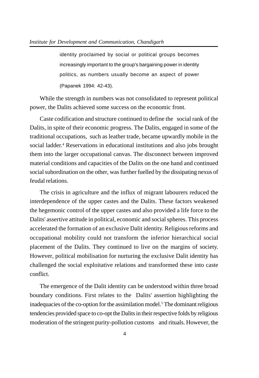identity proclaimed by social or political groups becomes increasingly important to the group's bargaining power in identity politics, as numbers usually become an aspect of power (Papanek 1994: 42-43).

While the strength in numbers was not consolidated to represent political power, the Dalits achieved some success on the economic front.

Caste codification and structure continued to define the social rank of the Dalits, in spite of their economic progress. The Dalits, engaged in some of the traditional occupations, such as leather trade, became upwardly mobile in the social ladder.<sup>4</sup> Reservations in educational institutions and also jobs brought them into the larger occupational canvas. The disconnect between improved material conditions and capacities of the Dalits on the one hand and continued social subordination on the other, was further fuelled by the dissipating nexus of feudal relations.

The crisis in agriculture and the influx of migrant labourers reduced the interdependence of the upper castes and the Dalits. These factors weakened the hegemonic control of the upper castes and also provided a life force to the Dalits' assertive attitude in political, economic and social spheres. This process accelerated the formation of an exclusive Dalit identity. Religious reforms and occupational mobility could not transform the inferior hierarchical social placement of the Dalits. They continued to live on the margins of society. However, political mobilisation for nurturing the exclusive Dalit identity has challenged the social exploitative relations and transformed these into caste conflict.

The emergence of the Dalit identity can be understood within three broad boundary conditions. First relates to the Dalits' assertion highlighting the inadequacies of the co-option for the assimilation model.<sup>5</sup> The dominant religious tendencies provided space to co-opt the Dalits in their respective folds by religious moderation of the stringent purity-pollution customs and rituals. However, the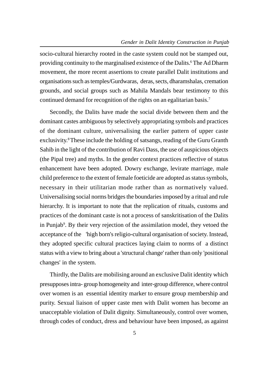socio-cultural hierarchy rooted in the caste system could not be stamped out, providing continuity to the marginalised existence of the Dalits.<sup>6</sup> The Ad Dharm movement, the more recent assertions to create parallel Dalit institutions and organisations such as temples/Gurdwaras, deras, sects, dharamshalas, cremation grounds, and social groups such as Mahila Mandals bear testimony to this continued demand for recognition of the rights on an egalitarian basis.<sup>7</sup>

Secondly, the Dalits have made the social divide between them and the dominant castes ambiguous by selectively appropriating symbols and practices of the dominant culture, universalising the earlier pattern of upper caste exclusivity.<sup>8</sup> These include the holding of satsangs, reading of the Guru Granth Sahib in the light of the contribution of Ravi Dass, the use of auspicious objects (the Pipal tree) and myths. In the gender context practices reflective of status enhancement have been adopted. Dowry exchange, levirate marriage, male child preference to the extent of female foeticide are adopted as status symbols, necessary in their utilitarian mode rather than as normatively valued. Universalising social norms bridges the boundaries imposed by a ritual and rule hierarchy. It is important to note that the replication of rituals, customs and practices of the dominant caste is not a process of sanskritisation of the Dalits in Punjab<sup>9</sup>. By their very rejection of the assimilation model, they vetoed the acceptance of the 'high born's religio-cultural organisation of society. Instead, they adopted specific cultural practices laying claim to norms of a distinct status with a view to bring about a 'structural change' rather than only 'positional changes' in the system.

Thirdly, the Dalits are mobilising around an exclusive Dalit identity which presupposes intra- group homogeneity and inter-group difference, where control over women is an essential identity marker to ensure group membership and purity. Sexual liaison of upper caste men with Dalit women has become an unacceptable violation of Dalit dignity. Simultaneously, control over women, through codes of conduct, dress and behaviour have been imposed, as against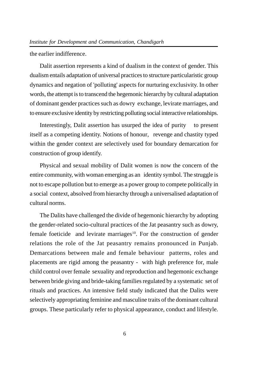the earlier indifference.

Dalit assertion represents a kind of dualism in the context of gender. This dualism entails adaptation of universal practices to structure particularistic group dynamics and negation of 'polluting' aspects for nurturing exclusivity. In other words, the attempt is to transcend the hegemonic hierarchy by cultural adaptation of dominant gender practices such as dowry exchange, levirate marriages, and to ensure exclusive identity by restricting polluting social interactive relationships.

Interestingly, Dalit assertion has usurped the idea of purity to present itself as a competing identity. Notions of honour, revenge and chastity typed within the gender context are selectively used for boundary demarcation for construction of group identify.

Physical and sexual mobility of Dalit women is now the concern of the entire community, with woman emerging as an identity symbol. The struggle is not to escape pollution but to emerge as a power group to compete politically in a social context, absolved from hierarchy through a universalised adaptation of cultural norms.

The Dalits have challenged the divide of hegemonic hierarchy by adopting the gender-related socio-cultural practices of the Jat peasantry such as dowry, female foeticide and levirate marriages<sup>10</sup>. For the construction of gender relations the role of the Jat peasantry remains pronounced in Punjab. Demarcations between male and female behaviour patterns, roles and placements are rigid among the peasantry - with high preference for, male child control over female sexuality and reproduction and hegemonic exchange between bride giving and bride-taking families regulated by a systematic set of rituals and practices. An intensive field study indicated that the Dalits were selectively appropriating feminine and masculine traits of the dominant cultural groups. These particularly refer to physical appearance, conduct and lifestyle.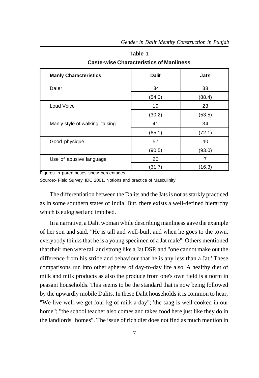| <b>Manly Characteristics</b>    | <b>Dalit</b> | Jats   |
|---------------------------------|--------------|--------|
| Daler                           | 34           | 38     |
|                                 | (54.0)       | (88.4) |
| Loud Voice                      | 19           | 23     |
|                                 | (30.2)       | (53.5) |
| Manly style of walking, talking | 41           | 34     |
|                                 | (65.1)       | (72.1) |
| Good physique                   | 57           | 40     |
|                                 | (90.5)       | (93.0) |
| Use of abusive language         | 20           | 7      |
|                                 | (31.7)       | (16.3) |

**Table 1 Caste-wise Characteristics of Manliness**

Figures in parentheses show percentages

Source:- Field Survey, IDC 2001, Notions and practice of Masculinity

The differentiation between the Dalits and the Jats is not as starkly practiced as in some southern states of India. But, there exists a well-defined hierarchy which is eulogised and imbibed.

In a narrative, a Dalit woman while describing manliness gave the example of her son and said, "He is tall and well-built and when he goes to the town, everybody thinks that he is a young specimen of a Jat male". Others mentioned that their men were tall and strong like a Jat DSP, and "one cannot make out the difference from his stride and behaviour that he is any less than a Jat.' These comparisons run into other spheres of day-to-day life also. A healthy diet of milk and milk products as also the produce from one's own field is a norm in peasant households. This seems to be the standard that is now being followed by the upwardly mobile Dalits. In these Dalit households it is common to hear, "We live well-we get four kg of milk a day"; 'the saag is well cooked in our home"; "the school teacher also comes and takes food here just like they do in the landlords' homes". The issue of rich diet does not find as much mention in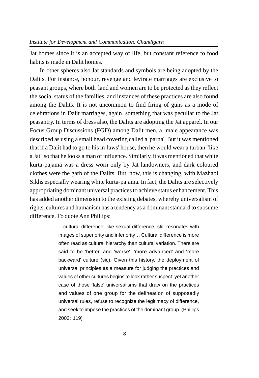Jat homes since it is an accepted way of life, but constant reference to food habits is made in Dalit homes.

In other spheres also Jat standards and symbols are being adopted by the Dalits. For instance, honour, revenge and levirate marriages are exclusive to peasant groups, where both land and women are to be protected as they reflect the social status of the families, and instances of these practices are also found among the Dalits. It is not uncommon to find firing of guns as a mode of celebrations in Dalit marriages, again something that was peculiar to the Jat peasantry. In terms of dress also, the Dalits are adopting the Jat apparel. In our Focus Group Discussions (FGD) among Dalit men, a male appearance was described as using a small head covering called a 'parna'. But it was mentioned that if a Dalit had to go to his in-laws' house, then he would wear a turban "like a Jat" so that he looks a man of influence. Similarly, it was mentioned that white kurta-pajama was a dress worn only by Jat landowners, and dark coloured clothes were the garb of the Dalits. But, now, this is changing, with Mazhabi Sikhs especially wearing white kurta-pajama. In fact, the Dalits are selectively appropriating dominant universal practices to achieve status enhancement. This has added another dimension to the existing debates, whereby universalism of rights, cultures and humanism has a tendency as a dominant standard to subsume difference. To quote Ann Phillips:

> …cultural difference, like sexual difference, still resonates with images of superiority and inferiority… Cultural difference is more often read as cultural hierarchy than cultural variation. There are said to be 'better' and 'worse', 'more advanced' and 'more backward' culture (sic). Given this history, the deployment of universal principles as a measure for judging the practices and values of other cultures begins to look rather suspect: yet another case of those 'false' universalisms that draw on the practices and values of one group for the delineation of supposedly universal rules, refuse to recognize the legitimacy of difference, and seek to impose the practices of the dominant group. (Phillips 2002: 119)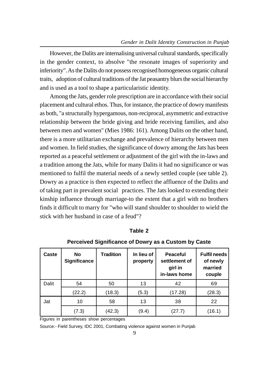However, the Dalits are internalising universal cultural standards, specifically in the gender context, to absolve "the resonate images of superiority and inferiority". As the Dalits do not possess recognised homogeneous organic cultural traits, adoption of cultural traditions of the Jat peasantry blurs the social hierarchy and is used as a tool to shape a particularistic identity.

Among the Jats, gender role prescription are in accordance with their social placement and cultural ethos. Thus, for instance, the practice of dowry manifests as both, "a structurally hypergamous, non-reciprocal, asymmetric and extractive relationship between the bride giving and bride receiving families, and also between men and women" (Mies 1986: 161). Among Dalits on the other hand, there is a more utilitarian exchange and prevalence of hierarchy between men and women. In field studies, the significance of dowry among the Jats has been reported as a peaceful settlement or adjustment of the girl with the in-laws and a tradition among the Jats, while for many Dalits it had no significance or was mentioned to fulfil the material needs of a newly settled couple (see table 2). Dowry as a practice is then expected to reflect the affluence of the Dalits and of taking part in prevalent social practices. The Jats looked to extending their kinship influence through marriage-to the extent that a girl with no brothers finds it difficult to marry for "who will stand shoulder to shoulder to wield the stick with her husband in case of a feud"?

| Caste | <b>No</b><br><b>Significance</b> | <b>Tradition</b> | In lieu of<br>property | Peaceful<br>settlement of<br>girl in<br>in-laws home | <b>Fulfil needs</b><br>of newly<br>married<br>couple |
|-------|----------------------------------|------------------|------------------------|------------------------------------------------------|------------------------------------------------------|
| Dalit | 54                               | 50               | 13                     | 42                                                   | 69                                                   |
|       | (22.2)                           | (18.3)           | (5.3)                  | (17.28)                                              | (28.3)                                               |
| Jat   | 10                               | 58               | 13                     | 38                                                   | 22                                                   |
|       | (7.3)                            | (42.3)           | (9.4)                  | (27.7)                                               | (16.1)                                               |

**Table 2**

**Perceived Significance of Dowry as a Custom by Caste**

Figures in parentheses show percentages

Source:- Field Survey, IDC 2001, Combating violence against women in Punjab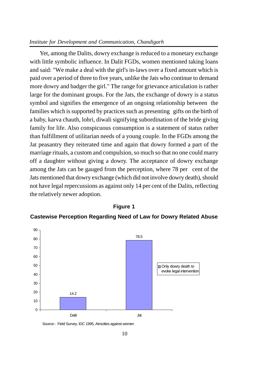#### *Institute for Development and Communication, Chandigarh*

Yet, among the Dalits, dowry exchange is reduced to a monetary exchange with little symbolic influence. In Dalit FGDs, women mentioned taking loans and said: "We make a deal with the girl's in-laws over a fixed amount which is paid over a period of three to five years, unlike the Jats who continue to demand more dowry and badger the girl." The range for grievance articulation is rather large for the dominant groups. For the Jats, the exchange of dowry is a status symbol and signifies the emergence of an ongoing relationship between the families which is supported by practices such as presenting gifts on the birth of a baby, karva chauth, lohri, diwali signifying subordination of the bride giving family for life. Also conspicuous consumption is a statement of status rather than fulfillment of utilitarian needs of a young couple. In the FGDs among the Jat peasantry they reiterated time and again that dowry formed a part of the marriage rituals, a custom and compulsion, so much so that no one could marry off a daughter without giving a dowry. The acceptance of dowry exchange among the Jats can be gauged from the perception, where 78 per cent of the Jats mentioned that dowry exchange (which did not involve dowry death), should not have legal repercussions as against only 14 per cent of the Dalits, reflecting the relatively newer adoption.



#### **Figure 1**

**Castewise Perception Regarding Need of Law for Dowry Related Abuse**

Source:- Field Survey, IDC 1995, Atrocities against women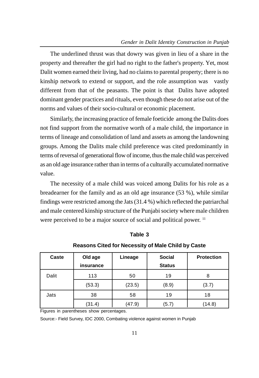The underlined thrust was that dowry was given in lieu of a share in the property and thereafter the girl had no right to the father's property. Yet, most Dalit women earned their living, had no claims to parental property; there is no kinship network to extend or support, and the role assumption was vastly different from that of the peasants. The point is that Dalits have adopted dominant gender practices and rituals, even though these do not arise out of the norms and values of their socio-cultural or economic placement.

Similarly, the increasing practice of female foeticide among the Dalits does not find support from the normative worth of a male child, the importance in terms of lineage and consolidation of land and assets as among the landowning groups. Among the Dalits male child preference was cited predominantly in terms of reversal of generational flow of income, thus the male child was perceived as an old age insurance rather than in terms of a culturally accumulated normative value.

The necessity of a male child was voiced among Dalits for his role as a breadearner for the family and as an old age insurance (53 %), while similar findings were restricted among the Jats (31.4 %) which reflected the patriarchal and male centered kinship structure of the Punjabi society where male children were perceived to be a major source of social and political power. <sup>11</sup>

| Caste | Old age<br>insurance | Lineage | <b>Social</b><br><b>Status</b> | <b>Protection</b> |
|-------|----------------------|---------|--------------------------------|-------------------|
| Dalit | 113                  | 50      | 19                             | 8                 |
|       | (53.3)               | (23.5)  | (8.9)                          | (3.7)             |
| Jats  | 38                   | 58      | 19                             | 18                |
|       | (31.4)               | (47.9)  | (5.7)                          | (14.8)            |

**Table 3**

**Reasons Cited for Necessity of Male Child by Caste**

Figures in parentheses show percentages.

Source:- Field Survey, IDC 2000, Combating violence against women in Punjab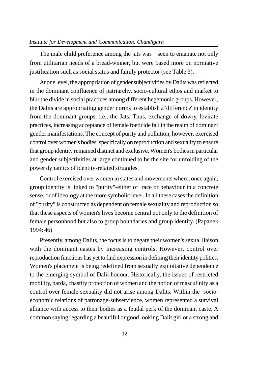The male child preference among the jats was seen to emanate not only from utilitarian needs of a bread-winner, but were based more on normative justification such as social status and family protector (see Table 3).

At one level, the appropriation of gender subjectivities by Dalits was reflected in the dominant confluence of patriarchy, socio-cultural ethos and market to blur the divide in social practices among different hegemonic groups. However, the Dalits are appropriating gender norms to establish a 'difference' in identity from the dominant groups, i.e., the Jats. Thus, exchange of dowry, levirate practices, increasing acceptance of female foeticide fall in the realm of dominant gender manifestations. The concept of purity and pollution, however, exercised control over women's bodies, specifically on reproduction and sexuality to ensure that group identity remained distinct and exclusive. Women's bodies in particular and gender subjectivities at large continued to be the site for unfolding of the power dynamics of identity-related struggles.

Control exercised over women in states and movements where, once again, group identity is linked to "purity"-either of race or behaviour in a concrete sense, or of ideology at the more symbolic level. In all these cases the definition of "purity" is constructed as dependent on female sexuality and reproduction so that these aspects of women's lives become central not only to the definition of female personhood but also to group boundaries and group identity. (Papanek 1994: 46)

Presently, among Dalits, the focus is to negate their women's sexual liaison with the dominant castes by increasing controls. However, control over reproduction functions has yet to find expression in defining their identity politics. Women's placement is being redefined from sexually exploitative dependence to the emerging symbol of Dalit honour. Historically, the issues of restricted mobility, parda, chastity protection of women and the notion of masculinity as a control over female sexuality did not arise among Dalits. Within the socioeconomic relations of patronage-subservience, women represented a survival alliance with access to their bodies as a feudal perk of the dominant caste. A common saying regarding a beautiful or good looking Dalit girl or a strong and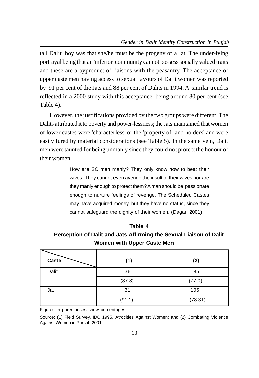tall Dalit boy was that she/he must be the progeny of a Jat. The under-lying portrayal being that an 'inferior' community cannot possess socially valued traits and these are a byproduct of liaisons with the peasantry. The acceptance of upper caste men having access to sexual favours of Dalit women was reported by 91 per cent of the Jats and 88 per cent of Dalits in 1994. A similar trend is reflected in a 2000 study with this acceptance being around 80 per cent (see Table 4).

However, the justifications provided by the two groups were different. The Dalits attributed it to poverty and power-lessness; the Jats maintained that women of lower castes were 'characterless' or the 'property of land holders' and were easily lured by material considerations (see Table 5). In the same vein, Dalit men were taunted for being unmanly since they could not protect the honour of their women.

> How are SC men manly? They only know how to beat their wives. They cannot even avenge the insult of their wives nor are they manly enough to protect them? A man should be passionate enough to nurture feelings of revenge. The Scheduled Castes may have acquired money, but they have no status, since they cannot safeguard the dignity of their women. (Dagar, 2001)

**Table 4 Perception of Dalit and Jats Affirming the Sexual Liaison of Dalit Women with Upper Caste Men**

| Caste | (1)    | (2)     |
|-------|--------|---------|
| Dalit | 36     | 185     |
|       | (87.8) | (77.0)  |
| Jat   | 31     | 105     |
|       | (91.1) | (78.31) |

Figures in parentheses show percentages

Source: (1) Field Survey, IDC 1995, Atrocities Against Women; and (2) Combating Violence Against Women in Punjab,2001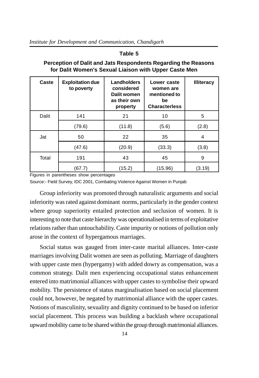#### **Table 5**

| Caste | <b>Exploitation due</b><br>to poverty | <b>Landholders</b><br>considered<br>Dalit women<br>as their own<br>property | Lower caste<br>women are<br>mentioned to<br>be<br><b>Characterless</b> | <b>Illiteracy</b> |
|-------|---------------------------------------|-----------------------------------------------------------------------------|------------------------------------------------------------------------|-------------------|
| Dalit | 141                                   | 21                                                                          | 10                                                                     | 5                 |
|       | (79.6)                                | (11.8)                                                                      | (5.6)                                                                  | (2.8)             |
| Jat   | 50                                    | 22                                                                          | 35                                                                     | 4                 |
|       | (47.6)                                | (20.9)                                                                      | (33.3)                                                                 | (3.8)             |
| Total | 191                                   | 43                                                                          | 45                                                                     | 9                 |
|       | (67.7)                                | (15.2)                                                                      | (15.96)                                                                | (3.19)            |

## **Perception of Dalit and Jats Respondents Regarding the Reasons for Dalit Women's Sexual Liaison with Upper Caste Men**

Figures in parentheses show percentages

Source:- Field Survey, IDC 2001, Combating Violence Against Women in Punjab

Group inferiority was promoted through naturalistic arguments and social inferiority was rated against dominant norms, particularly in the gender context where group superiority entailed protection and seclusion of women. It is interesting to note that caste hierarchy was operationalised in terms of exploitative relations rather than untouchability. Caste impurity or notions of pollution only arose in the context of hypergamous marriages.

Social status was gauged from inter-caste marital alliances. Inter-caste marriages involving Dalit women are seen as polluting. Marriage of daughters with upper caste men (hypergamy) with added dowry as compensation, was a common strategy. Dalit men experiencing occupational status enhancement entered into matrimonial alliances with upper castes to symbolise their upward mobility. The persistence of status marginalisation based on social placement could not, however, be negated by matrimonial alliance with the upper castes. Notions of masculinity, sexuality and dignity continued to be based on inferior social placement. This process was building a backlash where occupational upward mobility came to be shared within the group through matrimonial alliances.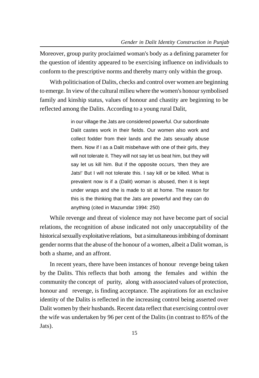Moreover, group purity proclaimed woman's body as a defining parameter for the question of identity appeared to be exercising influence on individuals to conform to the prescriptive norms and thereby marry only within the group.

With politicisation of Dalits, checks and control over women are beginning to emerge. In view of the cultural milieu where the women's honour symbolised family and kinship status, values of honour and chastity are beginning to be reflected among the Dalits. According to a young rural Dalit,

> in our village the Jats are considered powerful. Our subordinate Dalit castes work in their fields. Our women also work and collect fodder from their lands and the Jats sexually abuse them. Now if I as a Dalit misbehave with one of their girls, they will not tolerate it. They will not say let us beat him, but they will say let us kill him. But if the opposite occurs, 'then they are Jats!' But I will not tolerate this. I say kill or be killed. What is prevalent now is if a (Dalit) woman is abused, then it is kept under wraps and she is made to sit at home. The reason for this is the thinking that the Jats are powerful and they can do anything (cited in Mazumdar 1994: 250)

While revenge and threat of violence may not have become part of social relations, the recognition of abuse indicated not only unacceptability of the historical sexually exploitative relations, but a simultaneous imbibing of dominant gender norms that the abuse of the honour of a women, albeit a Dalit woman, is both a shame, and an affront.

In recent years, there have been instances of honour revenge being taken by the Dalits. This reflects that both among the females and within the community the concept of purity, along with associated values of protection, honour and revenge, is finding acceptance. The aspirations for an exclusive identity of the Dalits is reflected in the increasing control being asserted over Dalit women by their husbands. Recent data reflect that exercising control over the wife was undertaken by 96 per cent of the Dalits (in contrast to 85% of the Jats).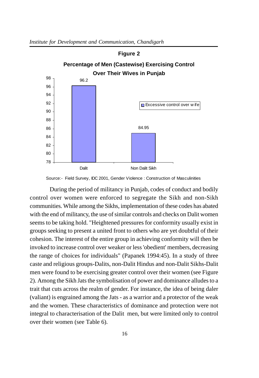

Source:- Field Survey, IDC 2001, Gender Violence : Construction of Masculinities

During the period of militancy in Punjab, codes of conduct and bodily control over women were enforced to segregate the Sikh and non-Sikh communities. While among the Sikhs, implementation of these codes has abated with the end of militancy, the use of similar controls and checks on Dalit women seems to be taking hold. "Heightened pressures for conformity usually exist in groups seeking to present a united front to others who are yet doubtful of their cohesion. The interest of the entire group in achieving conformity will then be invoked to increase control over weaker or less 'obedient' members, decreasing the range of choices for individuals" (Papanek 1994:45). In a study of three caste and religious groups-Dalits, non-Dalit Hindus and non-Dalit Sikhs-Dalit men were found to be exercising greater control over their women (see Figure 2). Among the Sikh Jats the symbolisation of power and dominance alludes to a trait that cuts across the realm of gender. For instance, the idea of being daler (valiant) is engrained among the Jats - as a warrior and a protector of the weak and the women. These characteristics of dominance and protection were not integral to characterisation of the Dalit men, but were limited only to control over their women (see Table 6).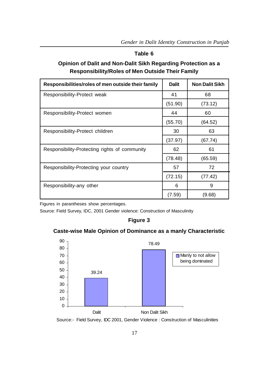#### **Table 6**

# **Opinion of Dalit and Non-Dalit Sikh Regarding Protection as a Responsibility/Roles of Men Outside Their Family**

| Responsibilities/roles of men outside their family | <b>Dalit</b> | <b>Non Dalit Sikh</b> |
|----------------------------------------------------|--------------|-----------------------|
| Responsibility-Protect weak                        | 41           | 68                    |
|                                                    | (51.90)      | (73.12)               |
| Responsibility-Protect women                       | 44           | 60                    |
|                                                    | (55.70)      | (64.52)               |
| Responsibility-Protect children                    | 30           | 63                    |
|                                                    | (37.97)      | (67.74)               |
| Responsibility-Protecting rights of community      | 62           | 61                    |
|                                                    | (78.48)      | (65.59)               |
| Responsibility-Protecting your country             | 57           | 72                    |
|                                                    | (72.15)      | (77.42)               |
| Responsibility-any other                           | 6            | 9                     |
|                                                    | (7.59)       | (9.68)                |

Figures in parantheses show percentages.

Source: Field Survey, IDC, 2001 Gender violence: Construction of Masculinity

### **Figure 3**

# **Caste-wise Male Opinion of Dominance as a manly Characteristic**



Source:- Field Survey, IDC 2001, Gender Violence : Construction of Masculinities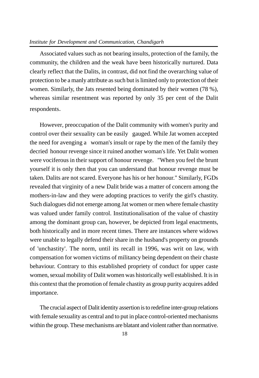#### *Institute for Development and Communication, Chandigarh*

Associated values such as not bearing insults, protection of the family, the community, the children and the weak have been historically nurtured. Data clearly reflect that the Dalits, in contrast, did not find the overarching value of protection to be a manly attribute as such but is limited only to protection of their women. Similarly, the Jats resented being dominated by their women (78 %), whereas similar resentment was reported by only 35 per cent of the Dalit respondents.

However, preoccupation of the Dalit community with women's purity and control over their sexuality can be easily gauged. While Jat women accepted the need for avenging a woman's insult or rape by the men of the family they decried honour revenge since it ruined another woman's life. Yet Dalit women were vociferous in their support of honour revenge. "When you feel the brunt yourself it is only then that you can understand that honour revenge must be taken. Dalits are not scared. Everyone has his or her honour." Similarly, FGDs revealed that virginity of a new Dalit bride was a matter of concern among the mothers-in-law and they were adopting practices to verify the girl's chastity. Such dialogues did not emerge among Jat women or men where female chastity was valued under family control. Institutionalisation of the value of chastity among the dominant group can, however, be depicted from legal enactments, both historically and in more recent times. There are instances where widows were unable to legally defend their share in the husband's property on grounds of 'unchastity'. The norm, until its recall in 1996, was writ on law, with compensation for women victims of militancy being dependent on their chaste behaviour. Contrary to this established propriety of conduct for upper caste women, sexual mobility of Dalit women was historically well established. It is in this context that the promotion of female chastity as group purity acquires added importance.

The crucial aspect of Dalit identity assertion is to redefine inter-group relations with female sexuality as central and to put in place control-oriented mechanisms within the group. These mechanisms are blatant and violent rather than normative.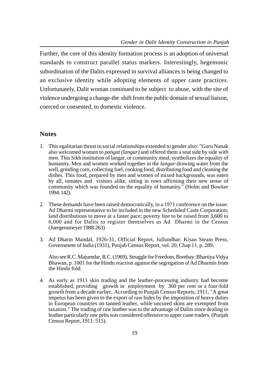Further, the core of this identity formation process is an adoption of universal standards to construct parallel status markers. Interestingly, hegemonic subordination of the Dalits expressed in survival alliances is being changed to an exclusive identity while adopting elements of upper caste practices. Unfortunately, Dalit woman continued to be subject to abuse, with the site of violence undergoing a change-the shift from the public domain of sexual liaison, coerced or consented, to domestic violence.

# **Notes**

- 1. This egalitarian thrust in social relationships extended to gender also: "Guru Nanak also welcomed women to *pangat (langar)* and offered them a seat side by side with men. This Sikh institution of langar, or community meal, symbolizes the equality of humanity. Men and women worked together in the *langar*-drawing water from the well, grinding corn, collecting fuel, cooking food, distributing food and cleaning the dishes. This food, prepared by men and women of mixed backgrounds, was eaten by all, inmates and visitors alike, sitting in rows affirming their new sense of community which was founded on the equality of humanity." (Holm and Bowker 1994: 142).
- 2. These demands have been raised democratically, in a 1971 conference on the issue. Ad Dharmi representative to be included in the new Scheduled Caste Corporation; land distributions to move at a faster pace; poverty line to be raised from 3,600 to 6,000 and for Dalits to register themselves as Ad Dharmi in the Census (Juergensmeyer 1988:263)
- 3. Ad Dharm Mandal, 1926-31, Official Report, Jullundhar: Kisan Steam Press, Government of India (1931), Punjab Census Report, vol. 20, Chap 11, p. 289.

Also see R.C. Majumdar, R.C. (1969), Struggle for Freedom, Bombay: Bhartiya Vidya Bhawan, p. 1001 for the Hindu reaction against the segregation of Ad Dharmis from the Hindu fold.

4. As early as 1911 skin trading and the leather-processing industry had become established, providing growth in employment by 360 per cent or a four-fold growth from a decade earlier. According to Punjab Census Reports, 1911, "A great impetus has been given to the export of raw hides by the imposition of heavy duties in European countries on tanned leather, while uncured skins are exempted from taxation." The trading of raw leather was to the advantage of Dalits since dealing in leather particularly raw pelts was considered offensive to upper caste traders. (Punjab Census Report, 1911: 515).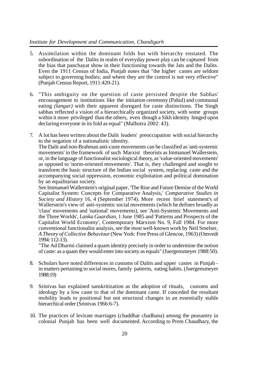#### *Institute for Development and Communication, Chandigarh*

- 5. Assimilation within the dominant folds but with hierarchy enstated. The subordination of the Dalits in realm of everyday power play can be captured from the bias that panchayat show in their functioning towards the Jats and the Dalits. Even the 1911 Census of India, Punjab notes that "the higher castes are seldom subject to governing bodies; and where they are the control is not very effective" (Punjab Census Report, 1911:420-21).
- 6. "This ambiguity on the question of caste persisted despite the Sabhas' encouragement to institutions like the initiation ceremony (Pahul) and communal eating *(langar)* with their apparent disregard for caste distinctions. The Singh sabhas reflected a vision of a hierarchically organized society, with some groups within it more privileged than the others, even though a Sikh identity hinged upon declaring everyone in its fold as equal" (Malhotra 2002: 43).
- 7. A lot has been written about the Dalit leaders' preoccupation with social hierarchy to the negation of a nationalistic identity.

The Dalit and non-Brahman anti-caste movements can be classified as 'anti-systemic movements' in the framework of such Marxist theorists as Immanuel Wallerstein, or, in the language of functionalist sociological theory, as 'value-oriented movements' as opposed to 'norm-oriented movements'. That is, they challenged and sought to transform the basic structure of the Indian social system, replacing caste and the accompanying social oppression, economic exploitation and political domination by an equalitarian society.

See Immanuel Wallerstein's original paper, 'The Rise and Future Demise of the World Capitalist System: Concepts for Comparative Analysis,' *Comparative Studies in Society and History* 16, 4 (September 1974). More recent brief statement's of Wallerstein's view of anti-systemic social movements (which he defines broadly as 'class' movements and 'national' movements), see 'Anti-Systemic Movements and the Three Worlds', *Lanka Guardian,* 1 June 1985 and 'Patterns and Prospects of the Capitalist World Economy', Contemporary Marxism No. 9, Fall 1984. For more conventional functionalist analysis, see the most well-known work by Neil Smelser, *A Theory of Collective Behaviour* (New York: Free Press of Glencoe, 1963) (Omvedt 1994: 112-13).

"The Ad Dharmi claimed a quam identity precisely in order to undermine the notion of caste: as a quam they would enter into society as equals" (Juergensmeyer 1988:50).

- 8. Scholars have noted differences in customs of Dalits and upper castes in Punjab in matters pertaining to social mores, family patterns, eating habits. (Juergensmeyer 1988:19)
- 9. Srinivas has explained sanskritization as the adoption of rituals, customs and ideology by a low caste to that of the dominant caste. If conceded the resultant mobility leads to positional but not structural changes in an essentially stable hierarchical order (Srinivas 1966:6-7).
- 10. The practices of levirate marriages (chaddhar chadhana) among the peasantry in colonial Punjab has been well documented. According to Prem Chaudhary, the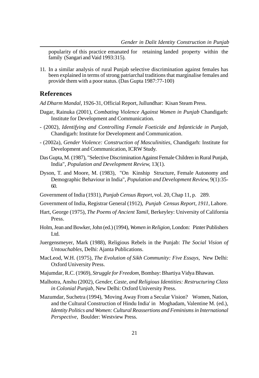popularity of this practice emanated for retaining landed property within the family (Sangari and Vaid 1993:315).

11. In a similar analysis of rural Punjab selective discrimination against females has been explained in terms of strong patriarchal traditions that marginalise females and provide them with a poor status. (Das Gupta 1987:77-100)

# **References**

*Ad Dharm Mandal*, 1926-31, Official Report, Jullundhar: Kisan Steam Press.

- Dagar, Rainuka (2001), *Combating Violence Against Women in Punjab* Chandigarh: Institute for Development and Communication.
- (2002), *Identifying and Controlling Female Foeticide and Infanticide in Punjab,* Chandigarh: Institute for Development and Communication.
- (2002a), *Gender Violence: Construction of Masculinities,* Chandigarh: Institute for Development and Communication, ICRW Study.
- Das Gupta, M. (1987), "Selective Discrimination Against Female Children in Rural Punjab, India", *Population and Development Review,* 13(1).
- Dyson, T. and Moore, M. (1983), "On Kinship Structure, Female Autonomy and Demographic Behaviour in India", *Population and Development Review,* 9(1):35- 60.
- Government of India (1931), *Punjab Census Report,* vol. 20, Chap 11, p. 289.
- Government of India, Registrar General (1912), *Punjab Census Report, 1911*, Lahore.
- Hart, George (1975), *The Poems of Ancient Tamil,* Berkeyley: University of California Press.
- Holm, Jean and Bowker, John (ed.) (1994), *Women in Religion,* London: Pinter Publishers Ltd.
- Juergensmeyer, Mark (1988), Religious Rebels in the Punjab: *The Social Vision of Untouchables*, Delhi: Ajanta Publications.
- MacLeod, W.H. (1975), *The Evolution of Sikh Community: Five Essays,* New Delhi: Oxford University Press.
- Majumdar, R.C. (1969), *Struggle for Freedom,* Bombay: Bhartiya Vidya Bhawan.
- Malhotra, Anshu (2002), *Gender, Caste, and Religious Identities: Restructuring Class in Colonial Punjab,* New Delhi: Oxford University Press.
- Mazumdar, Suchetra (1994), 'Moving Away From a Secular Vision? Women, Nation, and the Cultural Construction of Hindu India' in Moghadam, Valentine M. (ed.), *Identity Politics and Women: Cultural Reassertions and Feminisms in International Perspective,* Boulder: Westview Press.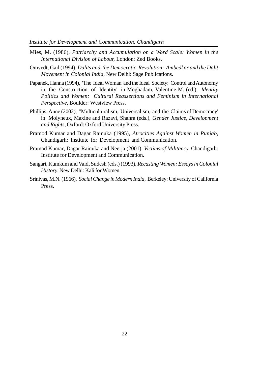- Mies, M. (1986), *Patriarchy and Accumulation on a Word Scale: Women in the International Division of Labour,* London: Zed Books.
- Omvedt, Gail (1994), *Dalits and the Democratic Revolution: Ambedkar and the Dalit Movement in Colonial India,* New Delhi: Sage Publications.
- Papanek, Hanna (1994), 'The Ideal Woman and the Ideal Society: Control and Autonomy in the Construction of Identity' in Moghadam, Valentine M. (ed.), *Identity Politics and Women: Cultural Reassertions and Feminism in International Perspective*, Boulder: Westview Press.
- Phillips, Anne (2002), "Multiculturalism, Universalism, and the Claims of Democracy' in Molyneux, Maxine and Razavi, Shahra (eds.), *Gender Justice, Development and Rights*, Oxford: Oxford University Press.
- Pramod Kumar and Dagar Rainuka (1995), *Atrocities Against Women in Punjab,* Chandigarh: Institute for Development and Communication.
- Pramod Kumar, Dagar Rainuka and Neerja (2001), *Victims of Militancy,* Chandigarh: Institute for Development and Communication.
- Sangari, Kumkum and Vaid, Sudesh (eds.) (1993), *Recasting Women: Essays in Colonial History*, New Delhi: Kali for Women.
- Srinivas, M.N. (1966), *Social Change in Modern India,* Berkeley: University of California Press.